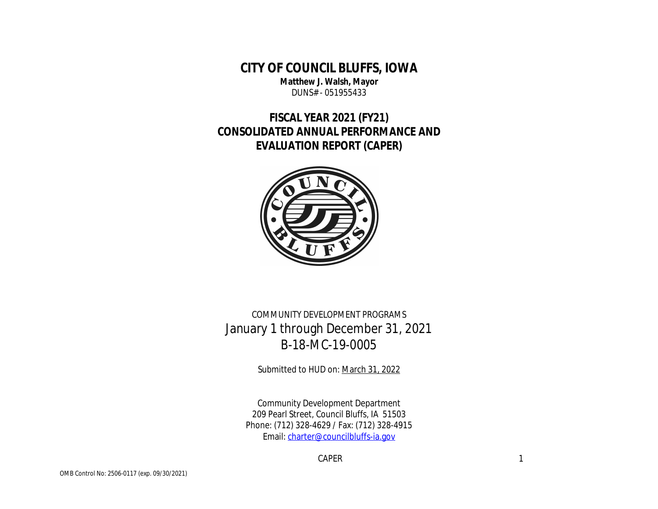# **CITY OF COUNCIL BLUFFS, IOWA**

**Matthew J. Walsh, Mayor** DUNS# - 051955433

# **FISCAL YEAR 2021 (FY21) CONSOLIDATED ANNUAL PERFORMANCE AND EVALUATION REPORT (CAPER)**



COMMUNITY DEVELOPMENT PROGRAMS January 1 through December 31, 2021 B-18-MC-19-0005

Submitted to HUD on: March 31, 2022

Community Development Department 209 Pearl Street, Council Bluffs, IA 51503 Phone: (712) 328-4629 / Fax: (712) 328-4915 Email: charter@councilbluffs-ia.gov

CAPER **1999**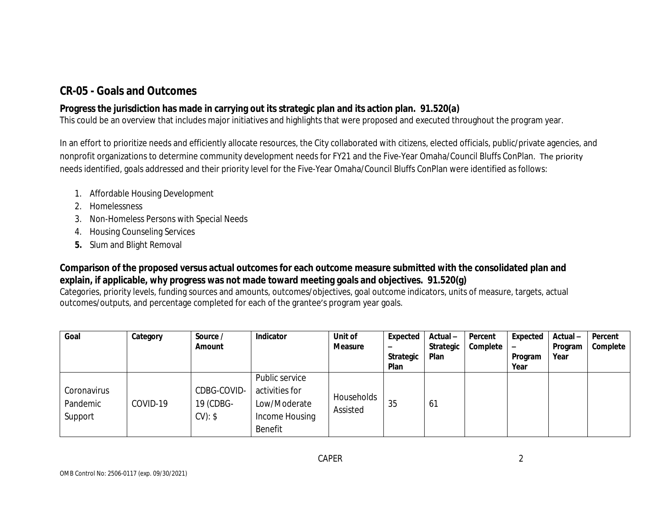## **CR-05 - Goals and Outcomes**

### **Progress the jurisdiction has made in carrying out its strategic plan and its action plan. 91.520(a)**

This could be an overview that includes major initiatives and highlights that were proposed and executed throughout the program year.

In an effort to prioritize needs and efficiently allocate resources, the City collaborated with citizens, elected officials, public/private agencies, and nonprofit organizations to determine community development needs for FY21 and the Five-Year Omaha/Council Bluffs ConPlan. The priority needs identified, goals addressed and their priority level for the Five-Year Omaha/Council Bluffs ConPlan were identified as follows:

- 1. Affordable Housing Development
- 2. Homelessness
- 3. Non-Homeless Persons with Special Needs
- 4. Housing Counseling Services
- **5.** Slum and Blight Removal

### **Comparison of the proposed versus actual outcomes for each outcome measure submitted with the consolidated plan and explain, if applicable, why progress was not made toward meeting goals and objectives. 91.520(g)**

Categories, priority levels, funding sources and amounts, outcomes/objectives, goal outcome indicators, units of measure, targets, actual outcomes/outputs, and percentage completed for each of the grantee's program year goals.

| Goal                               | Category | Source /<br>Amount                 | Indicator                                                                     | Unit of<br><b>Measure</b> | <b>Expected</b><br>$\overline{\phantom{0}}$<br><b>Strategic</b><br>Plan | Actual-<br>Strategic<br>Plan | Percent<br>Complete | Expected<br>-<br>Program<br>Year | Actual-<br>Program<br>Year | Percent<br>Complete |
|------------------------------------|----------|------------------------------------|-------------------------------------------------------------------------------|---------------------------|-------------------------------------------------------------------------|------------------------------|---------------------|----------------------------------|----------------------------|---------------------|
| Coronavirus<br>Pandemic<br>Support | COVID-19 | CDBG-COVID-<br>19 (CDBG-<br>CV: \$ | Public service<br>activities for<br>Low/Moderate<br>Income Housing<br>Benefit | Households<br>Assisted    | 35                                                                      | 61                           |                     |                                  |                            |                     |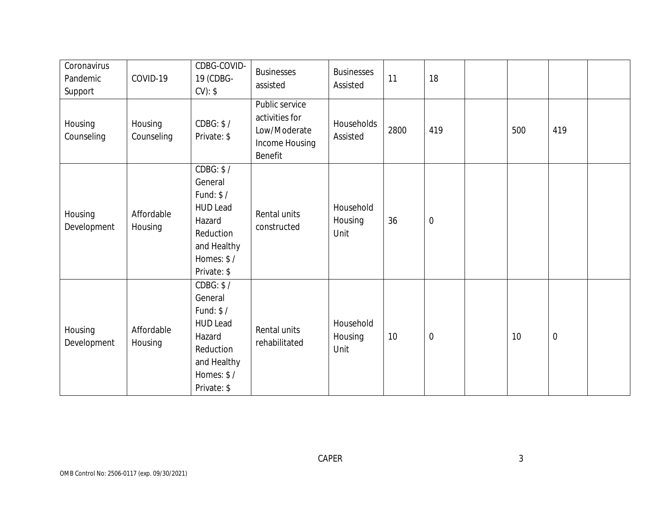| Coronavirus<br>Pandemic<br>Support | COVID-19              | CDBG-COVID-<br>19 (CDBG-<br>$CV):$ \$                                                                                    | <b>Businesses</b><br>assisted                                                 | <b>Businesses</b><br>Assisted | 11   | 18               |     |                  |  |
|------------------------------------|-----------------------|--------------------------------------------------------------------------------------------------------------------------|-------------------------------------------------------------------------------|-------------------------------|------|------------------|-----|------------------|--|
| Housing<br>Counseling              | Housing<br>Counseling | CDBG: \$/<br>Private: \$                                                                                                 | Public service<br>activities for<br>Low/Moderate<br>Income Housing<br>Benefit | Households<br>Assisted        | 2800 | 419              | 500 | 419              |  |
| Housing<br>Development             | Affordable<br>Housing | CDBG: \$/<br>General<br>Fund: $$/$<br><b>HUD Lead</b><br>Hazard<br>Reduction<br>and Healthy<br>Homes: \$/<br>Private: \$ | Rental units<br>constructed                                                   | Household<br>Housing<br>Unit  | 36   | $\boldsymbol{0}$ |     |                  |  |
| Housing<br>Development             | Affordable<br>Housing | CDBG: \$/<br>General<br>Fund: $$/$<br><b>HUD Lead</b><br>Hazard<br>Reduction<br>and Healthy<br>Homes: \$/<br>Private: \$ | Rental units<br>rehabilitated                                                 | Household<br>Housing<br>Unit  | 10   | $\mathbf 0$      | 10  | $\boldsymbol{0}$ |  |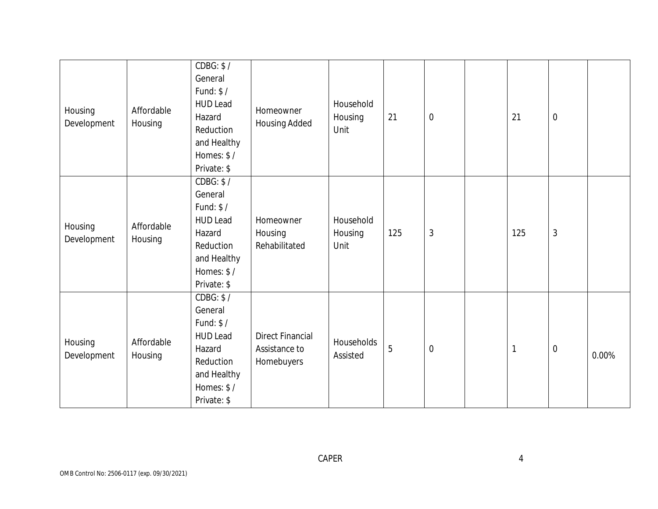| Housing<br>Development | Affordable<br>Housing | CDBG: \$/<br>General<br>Fund: $$/$<br><b>HUD Lead</b><br>Hazard<br>Reduction<br>and Healthy<br>Homes: \$/<br>Private: \$ | Homeowner<br><b>Housing Added</b>                      | Household<br>Housing<br>Unit | 21  | $\boldsymbol{0}$ | 21  | $\boldsymbol{0}$ |       |
|------------------------|-----------------------|--------------------------------------------------------------------------------------------------------------------------|--------------------------------------------------------|------------------------------|-----|------------------|-----|------------------|-------|
| Housing<br>Development | Affordable<br>Housing | CDBG: \$/<br>General<br>Fund: $$/$<br><b>HUD Lead</b><br>Hazard<br>Reduction<br>and Healthy<br>Homes: \$/<br>Private: \$ | Homeowner<br>Housing<br>Rehabilitated                  | Household<br>Housing<br>Unit | 125 | $\sqrt{3}$       | 125 | $\mathfrak{Z}$   |       |
| Housing<br>Development | Affordable<br>Housing | CDBG: \$/<br>General<br>Fund: \$/<br><b>HUD Lead</b><br>Hazard<br>Reduction<br>and Healthy<br>Homes: \$/<br>Private: \$  | <b>Direct Financial</b><br>Assistance to<br>Homebuyers | Households<br>Assisted       | 5   | $\mathbf 0$      |     | $\mathbf 0$      | 0.00% |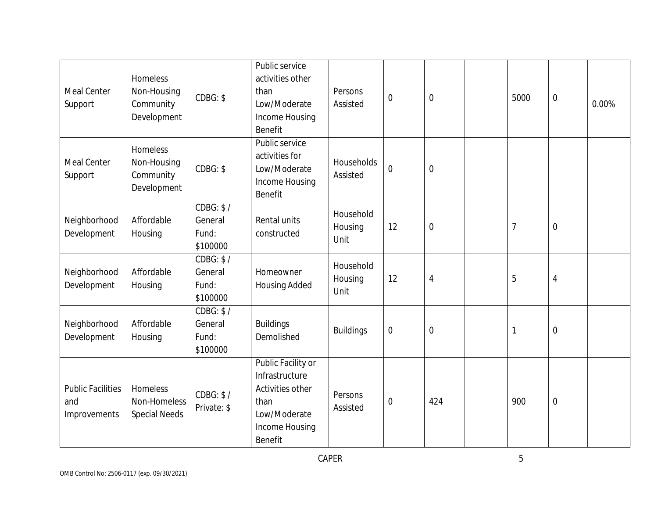| <b>Meal Center</b><br>Support                   | Homeless<br>Non-Housing<br>Community<br>Development | CDBG: \$                                  | Public service<br>activities other<br>than<br>Low/Moderate<br>Income Housing<br>Benefit                       | Persons<br>Assisted          | $\mathbf 0$    | $\mathbf 0$      | 5000           | $\boldsymbol{0}$ | 0.00% |
|-------------------------------------------------|-----------------------------------------------------|-------------------------------------------|---------------------------------------------------------------------------------------------------------------|------------------------------|----------------|------------------|----------------|------------------|-------|
| Meal Center<br>Support                          | Homeless<br>Non-Housing<br>Community<br>Development | CDBG: \$                                  | Public service<br>activities for<br>Low/Moderate<br>Income Housing<br>Benefit                                 | Households<br>Assisted       | $\mathbf 0$    | $\mathbf 0$      |                |                  |       |
| Neighborhood<br>Development                     | Affordable<br>Housing                               | CDBG: \$7<br>General<br>Fund:<br>\$100000 | Rental units<br>constructed                                                                                   | Household<br>Housing<br>Unit | 12             | $\boldsymbol{0}$ | $\overline{7}$ | $\boldsymbol{0}$ |       |
| Neighborhood<br>Development                     | Affordable<br>Housing                               | CDBG: \$/<br>General<br>Fund:<br>\$100000 | Homeowner<br><b>Housing Added</b>                                                                             | Household<br>Housing<br>Unit | 12             | $\overline{4}$   | 5              | $\overline{4}$   |       |
| Neighborhood<br>Development                     | Affordable<br>Housing                               | CDBG: \$/<br>General<br>Fund:<br>\$100000 | <b>Buildings</b><br>Demolished                                                                                | <b>Buildings</b>             | $\mathbf 0$    | $\mathbf 0$      | $\mathbf{1}$   | $\mathbf 0$      |       |
| <b>Public Facilities</b><br>and<br>Improvements | Homeless<br>Non-Homeless<br><b>Special Needs</b>    | CDBG: \$/<br>Private: \$                  | Public Facility or<br>Infrastructure<br>Activities other<br>than<br>Low/Moderate<br>Income Housing<br>Benefit | Persons<br>Assisted          | $\overline{0}$ | 424              | 900            | $\boldsymbol{0}$ |       |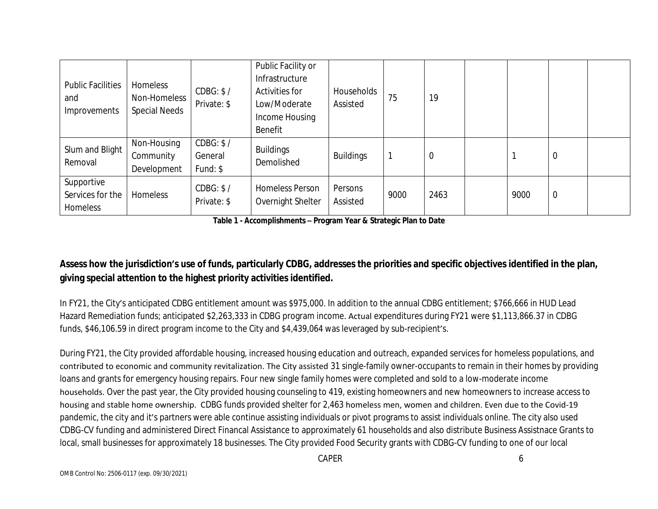| <b>Public Facilities</b><br>and<br>Improvements | Homeless<br>Non-Homeless<br><b>Special Needs</b> | CDBG: \$/<br>Private: \$          | Public Facility or<br>Infrastructure<br><b>Activities for</b><br>Low/Moderate<br>Income Housing<br>Benefit | Households<br>Assisted | 75   | 19   |      |                |  |
|-------------------------------------------------|--------------------------------------------------|-----------------------------------|------------------------------------------------------------------------------------------------------------|------------------------|------|------|------|----------------|--|
| Slum and Blight<br>Removal                      | Non-Housing<br>Community<br>Development          | CDBG: \$/<br>General<br>Fund: $$$ | <b>Buildings</b><br>Demolished                                                                             | <b>Buildings</b>       |      | 0    |      | $\mathbf 0$    |  |
| Supportive<br>Services for the<br>Homeless      | Homeless                                         | CDBG: \$/<br>Private: \$          | <b>Homeless Person</b><br>Overnight Shelter                                                                | Persons<br>Assisted    | 9000 | 2463 | 9000 | $\overline{0}$ |  |

**Table 1 - Accomplishments – Program Year & Strategic Plan to Date**

### **Assess how the jurisdiction's use of funds, particularly CDBG, addresses the priorities and specific objectives identified in the plan, giving special attention to the highest priority activities identified.**

In FY21, the City's anticipated CDBG entitlement amount was \$975,000. In addition to the annual CDBG entitlement; \$766,666 in HUD Lead Hazard Remediation funds; anticipated \$2,263,333 in CDBG program income. Actual expenditures during FY21 were \$1,113,866.37 in CDBG funds, \$46,106.59 in direct program income to the City and \$4,439,064 was leveraged by sub-recipient's.

During FY21, the City provided affordable housing, increased housing education and outreach, expanded services for homeless populations, and contributed to economic and community revitalization. The City assisted 31 single-family owner-occupants to remain in their homes by providing loans and grants for emergency housing repairs. Four new single family homes were completed and sold to a low-moderate income households. Over the past year, the City provided housing counseling to 419, existing homeowners and new homeowners to increase access to housing and stable home ownership. CDBG funds provided shelter for 2,463 homeless men, women and children. Even due to the Covid-19 pandemic, the city and it's partners were able continue assisting individuals or pivot programs to assist individuals online. The city also used CDBG-CV funding and administered Direct Financal Assistance to approximately 61 households and also distribute Business Assistnace Grants to local, small businesses for approximately 18 businesses. The City provided Food Security grants with CDBG-CV funding to one of our local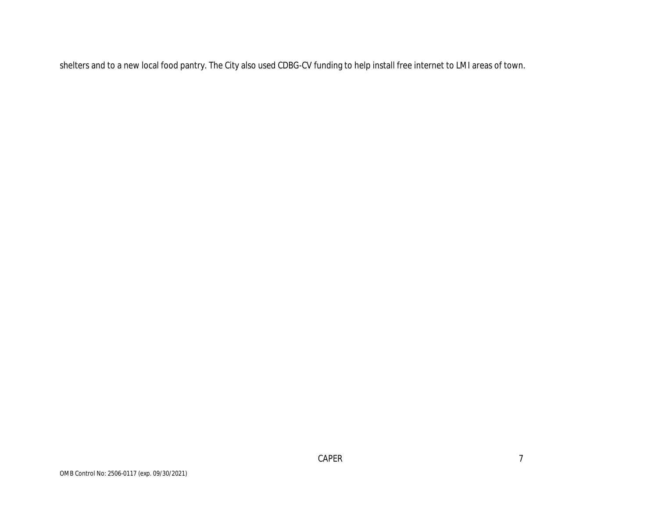shelters and to a new local food pantry. The City also used CDBG-CV funding to help install free internet to LMI areas of town.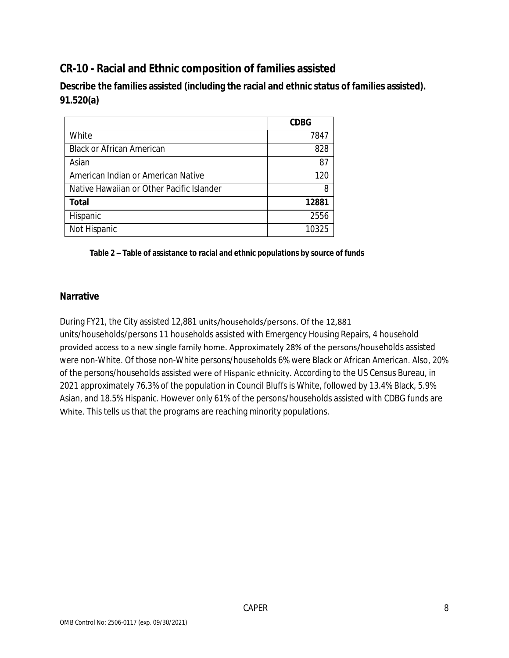# **CR-10 - Racial and Ethnic composition of families assisted**

**Describe the families assisted (including the racial and ethnic status of families assisted). 91.520(a)** 

|                                           | <b>CDBG</b> |
|-------------------------------------------|-------------|
| White                                     | 7847        |
| <b>Black or African American</b>          | 828         |
| Asian                                     | 87          |
| American Indian or American Native        | 120         |
| Native Hawaiian or Other Pacific Islander | 8           |
| <b>Total</b>                              | 12881       |
| Hispanic                                  | 2556        |
| Not Hispanic                              | 10325       |

#### **Table 2 – Table of assistance to racial and ethnic populations by source of funds**

#### **Narrative**

During FY21, the City assisted 12,881 units/households/persons. Of the 12,881 units/households/persons 11 households assisted with Emergency Housing Repairs, 4 household provided access to a new single family home. Approximately 28% of the persons/households assisted were non-White. Of those non-White persons/households 6% were Black or African American. Also, 20% of the persons/households assisted were of Hispanic ethnicity. According to the US Census Bureau, in 2021 approximately 76.3% of the population in Council Bluffs is White, followed by 13.4% Black, 5.9% Asian, and 18.5% Hispanic. However only 61% of the persons/households assisted with CDBG funds are White. This tells us that the programs are reaching minority populations.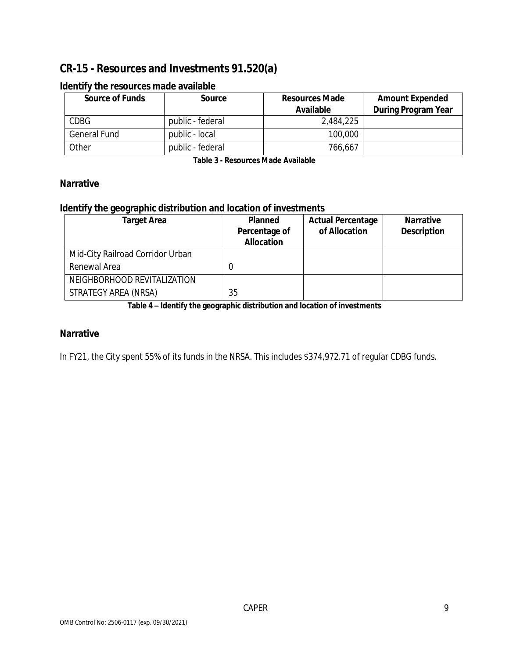## **CR-15 - Resources and Investments 91.520(a)**

| <b>Source of Funds</b> | Source           | <b>Resources Made</b><br><b>Available</b> | <b>Amount Expended</b><br><b>During Program Year</b> |
|------------------------|------------------|-------------------------------------------|------------------------------------------------------|
| <b>CDBG</b>            | public - federal | 2.484.225                                 |                                                      |
| <b>General Fund</b>    | public - local   | 100,000                                   |                                                      |
| Other                  | public - federal | 766,667                                   |                                                      |

#### **Identify the resources made available**

**Table 3 - Resources Made Available**

#### **Narrative**

#### **Identify the geographic distribution and location of investments**

| <b>Target Area</b>               | <b>Planned</b><br>Percentage of<br><b>Allocation</b> | <b>Actual Percentage</b><br>of Allocation | <b>Narrative</b><br><b>Description</b> |
|----------------------------------|------------------------------------------------------|-------------------------------------------|----------------------------------------|
| Mid-City Railroad Corridor Urban |                                                      |                                           |                                        |
| Renewal Area                     |                                                      |                                           |                                        |
| NEIGHBORHOOD REVITALIZATION      |                                                      |                                           |                                        |
| STRATEGY AREA (NRSA)             | 35                                                   |                                           |                                        |

**Table 4 – Identify the geographic distribution and location of investments**

#### **Narrative**

In FY21, the City spent 55% of its funds in the NRSA. This includes \$374,972.71 of regular CDBG funds.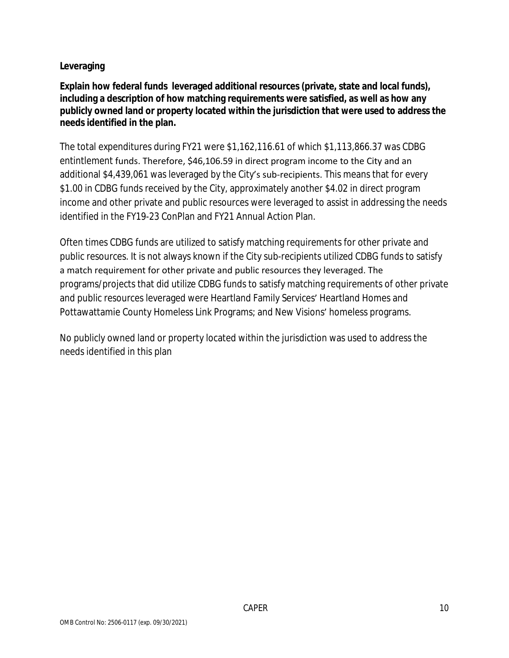#### **Leveraging**

**Explain how federal funds leveraged additional resources (private, state and local funds), including a description of how matching requirements were satisfied, as well as how any publicly owned land or property located within the jurisdiction that were used to address the needs identified in the plan.**

The total expenditures during FY21 were \$1,162,116.61 of which \$1,113,866.37 was CDBG entintlement funds. Therefore, \$46,106.59 in direct program income to the City and an additional \$4,439,061 was leveraged by the City's sub-recipients. This means that for every \$1.00 in CDBG funds received by the City, approximately another \$4.02 in direct program income and other private and public resources were leveraged to assist in addressing the needs identified in the FY19-23 ConPlan and FY21 Annual Action Plan.

Often times CDBG funds are utilized to satisfy matching requirements for other private and public resources. It is not always known if the City sub-recipients utilized CDBG funds to satisfy a match requirement for other private and public resources they leveraged. The programs/projects that did utilize CDBG funds to satisfy matching requirements of other private and public resources leveraged were Heartland Family Services' Heartland Homes and Pottawattamie County Homeless Link Programs; and New Visions' homeless programs.

No publicly owned land or property located within the jurisdiction was used to address the needs identified in this plan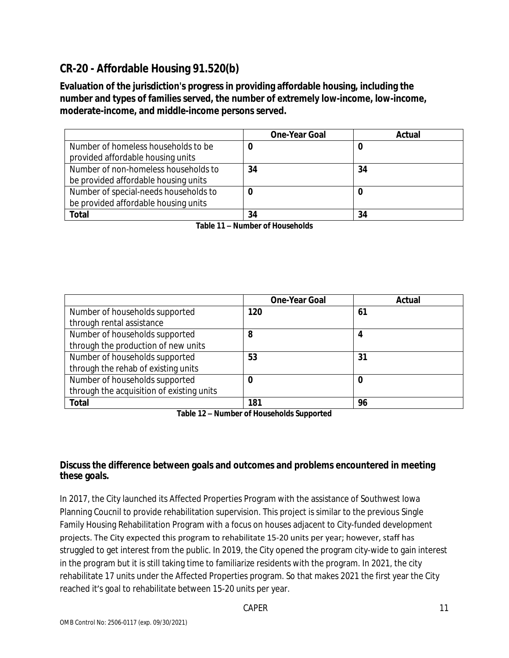# **CR-20 - Affordable Housing 91.520(b)**

**Evaluation of the jurisdiction's progress in providing affordable housing, including the number and types of families served, the number of extremely low-income, low-income, moderate-income, and middle-income persons served.**

|                                       | <b>One-Year Goal</b> | Actual |
|---------------------------------------|----------------------|--------|
| Number of homeless households to be   |                      | U      |
| provided affordable housing units     |                      |        |
| Number of non-homeless households to  | 34                   | 34     |
| be provided affordable housing units  |                      |        |
| Number of special-needs households to |                      |        |
| be provided affordable housing units  |                      |        |
| Total                                 | 34                   | 34     |

**Table 11 – Number of Households**

|                                           | <b>One-Year Goal</b> | Actual |
|-------------------------------------------|----------------------|--------|
| Number of households supported            | 120                  | 61     |
| through rental assistance                 |                      |        |
| Number of households supported            | 8                    | 4      |
| through the production of new units       |                      |        |
| Number of households supported            | 53                   | 31     |
| through the rehab of existing units       |                      |        |
| Number of households supported            | 0                    | 0      |
| through the acquisition of existing units |                      |        |
| <b>Total</b>                              | 181                  | 96     |

**Table 12 – Number of Households Supported**

#### **Discuss the difference between goals and outcomes and problems encountered in meeting these goals.**

In 2017, the City launched its Affected Properties Program with the assistance of Southwest Iowa Planning Coucnil to provide rehabilitation supervision. This project is similar to the previous Single Family Housing Rehabilitation Program with a focus on houses adjacent to City-funded development projects. The City expected this program to rehabilitate 15-20 units per year; however, staff has struggled to get interest from the public. In 2019, the City opened the program city-wide to gain interest in the program but it is still taking time to familiarize residents with the program. In 2021, the city rehabilitate 17 units under the Affected Properties program. So that makes 2021 the first year the City reached it's goal to rehabilitate between 15-20 units per year.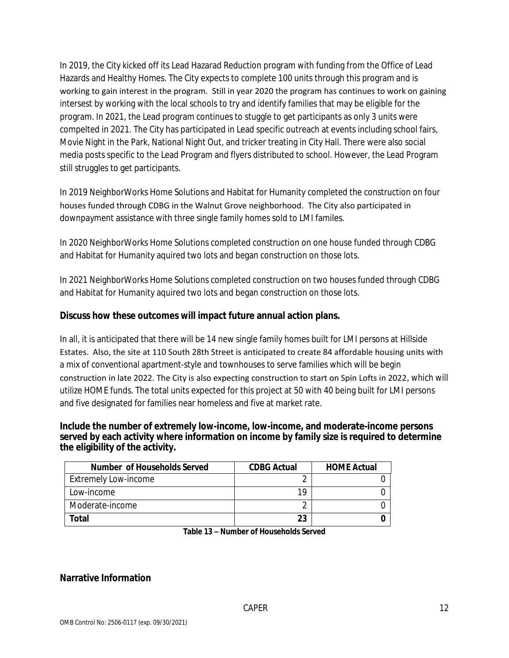In 2019, the City kicked off its Lead Hazarad Reduction program with funding from the Office of Lead Hazards and Healthy Homes. The City expects to complete 100 units through this program and is working to gain interest in the program. Still in year 2020 the program has continues to work on gaining intersest by working with the local schools to try and identify families that may be eligible for the program. In 2021, the Lead program continues to stuggle to get participants as only 3 units were compelted in 2021. The City has participated in Lead specific outreach at events including school fairs, Movie Night in the Park, National Night Out, and tricker treating in City Hall. There were also social media posts specific to the Lead Program and flyers distributed to school. However, the Lead Program still struggles to get participants.

In 2019 NeighborWorks Home Solutions and Habitat for Humanity completed the construction on four houses funded through CDBG in the Walnut Grove neighborhood. The City also participated in downpayment assistance with three single family homes sold to LMI familes.

In 2020 NeighborWorks Home Solutions completed construction on one house funded through CDBG and Habitat for Humanity aquired two lots and began construction on those lots.

In 2021 NeighborWorks Home Solutions completed construction on two houses funded through CDBG and Habitat for Humanity aquired two lots and began construction on those lots.

#### **Discuss how these outcomes will impact future annual action plans.**

In all, it is anticipated that there will be 14 new single family homes built for LMI persons at Hillside Estates. Also, the site at 110 South 28th Street is anticipated to create 84 affordable housing units with a mix of conventional apartment-style and townhouses to serve families which will be begin construction in late 2022. The City is also expecting construction to start on Spin Lofts in 2022, which will utilize HOME funds. The total units expected for this project at 50 with 40 being built for LMI persons and five designated for families near homeless and five at market rate.

#### **Include the number of extremely low-income, low-income, and moderate-income persons served by each activity where information on income by family size is required to determine the eligibility of the activity.**

| <b>Number of Households Served</b> | <b>CDBG Actual</b> | <b>HOME Actual</b> |
|------------------------------------|--------------------|--------------------|
| Extremely Low-income               |                    |                    |
| Low-income                         | 1 Q                |                    |
| Moderate-income                    |                    |                    |
| Total                              | 23                 |                    |

**Table 13 – Number of Households Served**

#### **Narrative Information**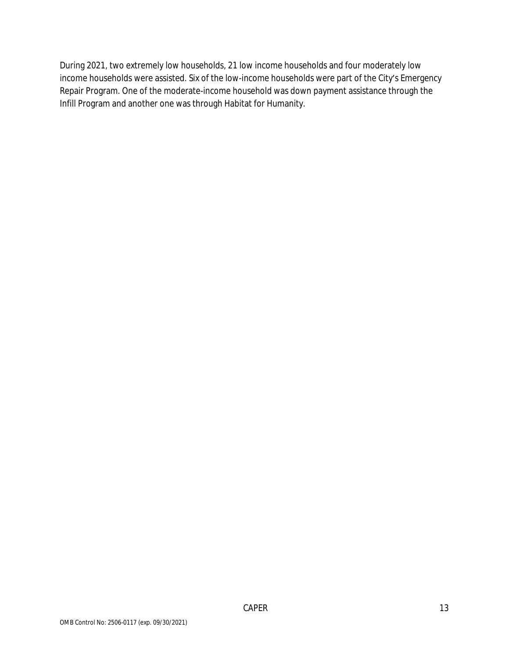During 2021, two extremely low households, 21 low income households and four moderately low income households were assisted. Six of the low-income households were part of the City's Emergency Repair Program. One of the moderate-income household was down payment assistance through the Infill Program and another one was through Habitat for Humanity.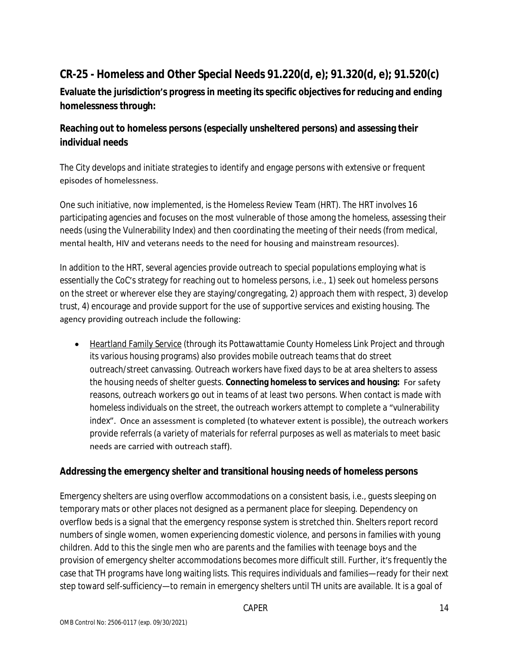# **CR-25 - Homeless and Other Special Needs 91.220(d, e); 91.320(d, e); 91.520(c)**

**Evaluate the jurisdiction's progress in meeting its specific objectives for reducing and ending homelessness through:**

### **Reaching out to homeless persons (especially unsheltered persons) and assessing their individual needs**

The City develops and initiate strategies to identify and engage persons with extensive or frequent episodes of homelessness.

One such initiative, now implemented, is the Homeless Review Team (HRT). The HRT involves 16 participating agencies and focuses on the most vulnerable of those among the homeless, assessing their needs (using the Vulnerability Index) and then coordinating the meeting of their needs (from medical, mental health, HIV and veterans needs to the need for housing and mainstream resources).

In addition to the HRT, several agencies provide outreach to special populations employing what is essentially the CoC's strategy for reaching out to homeless persons, i.e., 1) seek out homeless persons on the street or wherever else they are staying/congregating, 2) approach them with respect, 3) develop trust, 4) encourage and provide support for the use of supportive services and existing housing. The agency providing outreach include the following:

• Heartland Family Service (through its Pottawattamie County Homeless Link Project and through its various housing programs) also provides mobile outreach teams that do street outreach/street canvassing. Outreach workers have fixed days to be at area shelters to assess the housing needs of shelter guests. **Connecting homeless to services and housing:** For safety reasons, outreach workers go out in teams of at least two persons. When contact is made with homeless individuals on the street, the outreach workers attempt to complete a "vulnerability index". Once an assessment is completed (to whatever extent is possible), the outreach workers provide referrals (a variety of materials for referral purposes as well as materials to meet basic needs are carried with outreach staff).

#### **Addressing the emergency shelter and transitional housing needs of homeless persons**

Emergency shelters are using overflow accommodations on a consistent basis, i.e., guests sleeping on temporary mats or other places not designed as a permanent place for sleeping. Dependency on overflow beds is a signal that the emergency response system is stretched thin. Shelters report record numbers of single women, women experiencing domestic violence, and persons in families with young children. Add to this the single men who are parents and the families with teenage boys and the provision of emergency shelter accommodations becomes more difficult still. Further, it's frequently the case that TH programs have long waiting lists. This requires individuals and families—ready for their next step toward self-sufficiency—to remain in emergency shelters until TH units are available. It is a goal of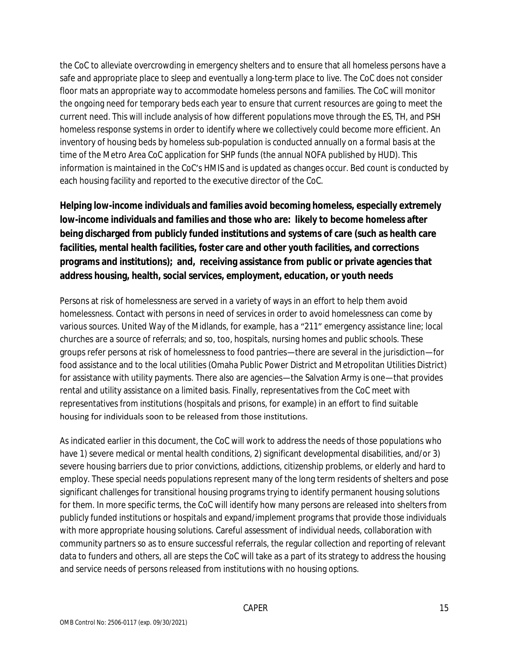the CoC to alleviate overcrowding in emergency shelters and to ensure that all homeless persons have a safe and appropriate place to sleep and eventually a long-term place to live. The CoC does not consider floor mats an appropriate way to accommodate homeless persons and families. The CoC will monitor the ongoing need for temporary beds each year to ensure that current resources are going to meet the current need. This will include analysis of how different populations move through the ES, TH, and PSH homeless response systems in order to identify where we collectively could become more efficient. An inventory of housing beds by homeless sub-population is conducted annually on a formal basis at the time of the Metro Area CoC application for SHP funds (the annual NOFA published by HUD). This information is maintained in the CoC's HMIS and is updated as changes occur. Bed count is conducted by each housing facility and reported to the executive director of the CoC.

**Helping low-income individuals and families avoid becoming homeless, especially extremely low-income individuals and families and those who are: likely to become homeless after being discharged from publicly funded institutions and systems of care (such as health care facilities, mental health facilities, foster care and other youth facilities, and corrections programs and institutions); and, receiving assistance from public or private agencies that address housing, health, social services, employment, education, or youth needs**

Persons at risk of homelessness are served in a variety of ways in an effort to help them avoid homelessness. Contact with persons in need of services in order to avoid homelessness can come by various sources. United Way of the Midlands, for example, has a "211" emergency assistance line; local churches are a source of referrals; and so, too, hospitals, nursing homes and public schools. These groups refer persons at risk of homelessness to food pantries—there are several in the jurisdiction—for food assistance and to the local utilities (Omaha Public Power District and Metropolitan Utilities District) for assistance with utility payments. There also are agencies—the Salvation Army is one—that provides rental and utility assistance on a limited basis. Finally, representatives from the CoC meet with representatives from institutions (hospitals and prisons, for example) in an effort to find suitable housing for individuals soon to be released from those institutions.

As indicated earlier in this document, the CoC will work to address the needs of those populations who have 1) severe medical or mental health conditions, 2) significant developmental disabilities, and/or 3) severe housing barriers due to prior convictions, addictions, citizenship problems, or elderly and hard to employ. These special needs populations represent many of the long term residents of shelters and pose significant challenges for transitional housing programs trying to identify permanent housing solutions for them. In more specific terms, the CoC will identify how many persons are released into shelters from publicly funded institutions or hospitals and expand/implement programs that provide those individuals with more appropriate housing solutions. Careful assessment of individual needs, collaboration with community partners so as to ensure successful referrals, the regular collection and reporting of relevant data to funders and others, all are steps the CoC will take as a part of its strategy to address the housing and service needs of persons released from institutions with no housing options.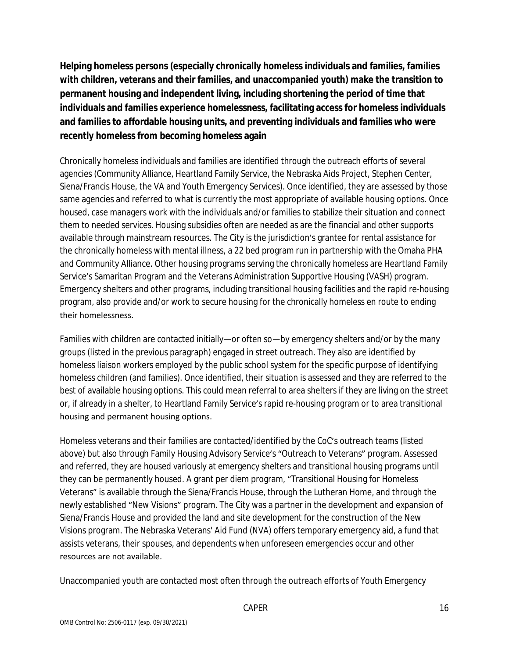**Helping homeless persons (especially chronically homeless individuals and families, families with children, veterans and their families, and unaccompanied youth) make the transition to permanent housing and independent living, including shortening the period of time that individuals and families experience homelessness, facilitating access for homeless individuals and families to affordable housing units, and preventing individuals and families who were recently homeless from becoming homeless again**

Chronically homeless individuals and families are identified through the outreach efforts of several agencies (Community Alliance, Heartland Family Service, the Nebraska Aids Project, Stephen Center, Siena/Francis House, the VA and Youth Emergency Services). Once identified, they are assessed by those same agencies and referred to what is currently the most appropriate of available housing options. Once housed, case managers work with the individuals and/or families to stabilize their situation and connect them to needed services. Housing subsidies often are needed as are the financial and other supports available through mainstream resources. The City is the jurisdiction's grantee for rental assistance for the chronically homeless with mental illness, a 22 bed program run in partnership with the Omaha PHA and Community Alliance. Other housing programs serving the chronically homeless are Heartland Family Service's Samaritan Program and the Veterans Administration Supportive Housing (VASH) program. Emergency shelters and other programs, including transitional housing facilities and the rapid re-housing program, also provide and/or work to secure housing for the chronically homeless en route to ending their homelessness.

Families with children are contacted initially—or often so—by emergency shelters and/or by the many groups (listed in the previous paragraph) engaged in street outreach. They also are identified by homeless liaison workers employed by the public school system for the specific purpose of identifying homeless children (and families). Once identified, their situation is assessed and they are referred to the best of available housing options. This could mean referral to area shelters if they are living on the street or, if already in a shelter, to Heartland Family Service's rapid re-housing program or to area transitional housing and permanent housing options.

Homeless veterans and their families are contacted/identified by the CoC's outreach teams (listed above) but also through Family Housing Advisory Service's "Outreach to Veterans" program. Assessed and referred, they are housed variously at emergency shelters and transitional housing programs until they can be permanently housed. A grant per diem program, "Transitional Housing for Homeless Veterans" is available through the Siena/Francis House, through the Lutheran Home, and through the newly established "New Visions" program. The City was a partner in the development and expansion of Siena/Francis House and provided the land and site development for the construction of the New Visions program. The Nebraska Veterans' Aid Fund (NVA) offers temporary emergency aid, a fund that assists veterans, their spouses, and dependents when unforeseen emergencies occur and other resources are not available.

Unaccompanied youth are contacted most often through the outreach efforts of Youth Emergency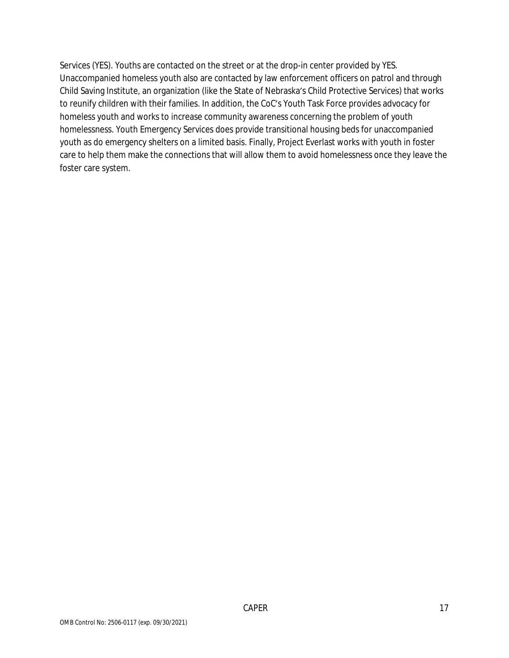Services (YES). Youths are contacted on the street or at the drop-in center provided by YES. Unaccompanied homeless youth also are contacted by law enforcement officers on patrol and through Child Saving Institute, an organization (like the State of Nebraska's Child Protective Services) that works to reunify children with their families. In addition, the CoC's Youth Task Force provides advocacy for homeless youth and works to increase community awareness concerning the problem of youth homelessness. Youth Emergency Services does provide transitional housing beds for unaccompanied youth as do emergency shelters on a limited basis. Finally, Project Everlast works with youth in foster care to help them make the connections that will allow them to avoid homelessness once they leave the foster care system.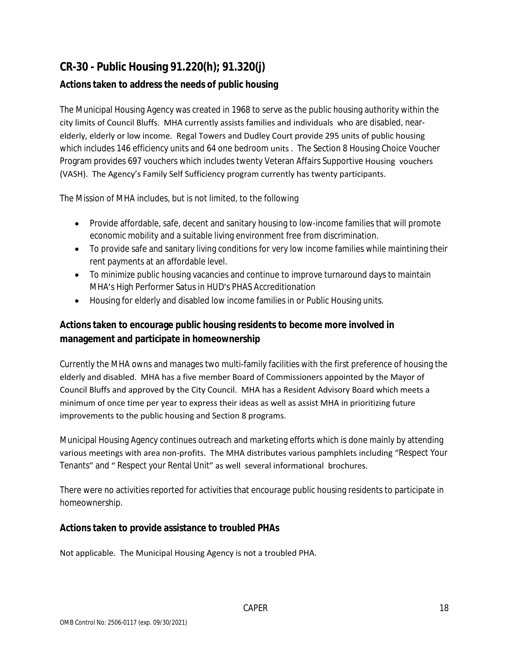# **CR-30 - Public Housing 91.220(h); 91.320(j)**

### **Actions taken to address the needs of public housing**

The Municipal Housing Agency was created in 1968 to serve as the public housing authority within the city limits of Council Bluffs. MHA currently assists families and individuals who are disabled, nearelderly, elderly or low income. Regal Towers and Dudley Court provide 295 units of public housing which includes 146 efficiency units and 64 one bedroom units . The Section 8 Housing Choice Voucher Program provides 697 vouchers which includes twenty Veteran Affairs Supportive Housing vouchers (VASH). The Agency's Family Self Sufficiency program currently has twenty participants.

The Mission of MHA includes, but is not limited, to the following

- Provide affordable, safe, decent and sanitary housing to low-income families that will promote economic mobility and a suitable living environment free from discrimination.
- To provide safe and sanitary living conditions for very low income families while maintining their rent payments at an affordable level.
- To minimize public housing vacancies and continue to improve turnaround days to maintain MHA's High Performer Satus in HUD's PHAS Accreditionation
- Housing for elderly and disabled low income families in or Public Housing units.

### **Actions taken to encourage public housing residents to become more involved in management and participate in homeownership**

Currently the MHA owns and manages two multi-family facilities with the first preference of housing the elderly and disabled. MHA has a five member Board of Commissioners appointed by the Mayor of Council Bluffs and approved by the City Council. MHA has a Resident Advisory Board which meets a minimum of once time per year to express their ideas as well as assist MHA in prioritizing future improvements to the public housing and Section 8 programs.

Municipal Housing Agency continues outreach and marketing efforts which is done mainly by attending various meetings with area non-profits. The MHA distributes various pamphlets including "Respect Your Tenants" and " Respect your Rental Unit" as well several informational brochures.

There were no activities reported for activities that encourage public housing residents to participate in homeownership.

#### **Actions taken to provide assistance to troubled PHAs**

Not applicable. The Municipal Housing Agency is not a troubled PHA.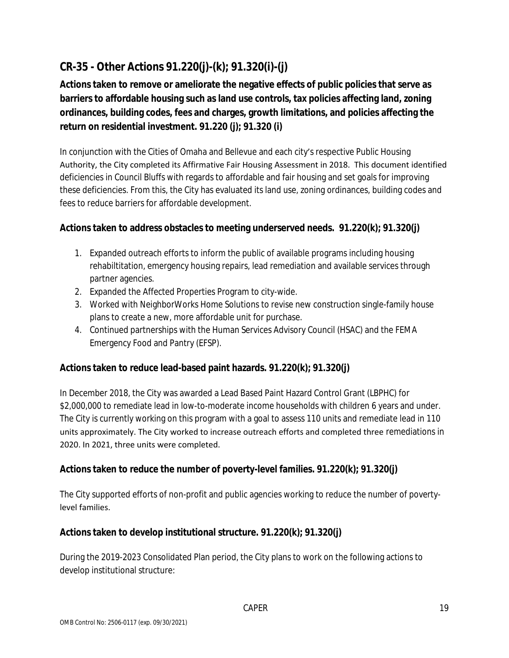# **CR-35 - Other Actions 91.220(j)-(k); 91.320(i)-(j)**

**Actions taken to remove or ameliorate the negative effects of public policies that serve as barriers to affordable housing such as land use controls, tax policies affecting land, zoning ordinances, building codes, fees and charges, growth limitations, and policies affecting the return on residential investment. 91.220 (j); 91.320 (i)**

In conjunction with the Cities of Omaha and Bellevue and each city's respective Public Housing Authority, the City completed its Affirmative Fair Housing Assessment in 2018. This document identified deficiencies in Council Bluffs with regards to affordable and fair housing and set goals for improving these deficiencies. From this, the City has evaluated its land use, zoning ordinances, building codes and fees to reduce barriers for affordable development.

### **Actions taken to address obstacles to meeting underserved needs. 91.220(k); 91.320(j)**

- 1. Expanded outreach efforts to inform the public of available programs including housing rehabiltitation, emergency housing repairs, lead remediation and available services through partner agencies.
- 2. Expanded the Affected Properties Program to city-wide.
- 3. Worked with NeighborWorks Home Solutions to revise new construction single-family house plans to create a new, more affordable unit for purchase.
- 4. Continued partnerships with the Human Services Advisory Council (HSAC) and the FEMA Emergency Food and Pantry (EFSP).

#### **Actions taken to reduce lead-based paint hazards. 91.220(k); 91.320(j)**

In December 2018, the City was awarded a Lead Based Paint Hazard Control Grant (LBPHC) for \$2,000,000 to remediate lead in low-to-moderate income households with children 6 years and under. The City is currently working on this program with a goal to assess 110 units and remediate lead in 110 units approximately. The City worked to increase outreach efforts and completed three remediations in 2020. In 2021, three units were completed.

#### **Actions taken to reduce the number of poverty-level families. 91.220(k); 91.320(j)**

The City supported efforts of non-profit and public agencies working to reduce the number of povertylevel families.

#### **Actions taken to develop institutional structure. 91.220(k); 91.320(j)**

During the 2019-2023 Consolidated Plan period, the City plans to work on the following actions to develop institutional structure: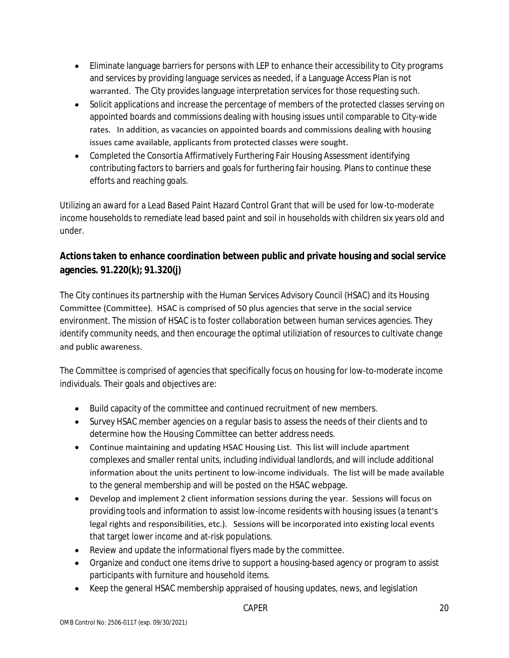- Eliminate language barriers for persons with LEP to enhance their accessibility to City programs and services by providing language services as needed, if a Language Access Plan is not warranted. The City provides language interpretation services for those requesting such.
- Solicit applications and increase the percentage of members of the protected classes serving on appointed boards and commissions dealing with housing issues until comparable to City-wide rates. In addition, as vacancies on appointed boards and commissions dealing with housing issues came available, applicants from protected classes were sought.
- Completed the Consortia Affirmatively Furthering Fair Housing Assessment identifying contributing factors to barriers and goals for furthering fair housing. Plans to continue these efforts and reaching goals.

Utilizing an award for a Lead Based Paint Hazard Control Grant that will be used for low-to-moderate income households to remediate lead based paint and soil in households with children six years old and under.

### **Actions taken to enhance coordination between public and private housing and social service agencies. 91.220(k); 91.320(j)**

The City continues its partnership with the Human Services Advisory Council (HSAC) and its Housing Committee (Committee). HSAC is comprised of 50 plus agencies that serve in the social service environment. The mission of HSAC is to foster collaboration between human services agencies. They identify community needs, and then encourage the optimal utiliziation of resources to cultivate change and public awareness.

The Committee is comprised of agencies that specifically focus on housing for low-to-moderate income individuals. Their goals and objectives are:

- Build capacity of the committee and continued recruitment of new members.
- Survey HSAC member agencies on a regular basis to assess the needs of their clients and to determine how the Housing Committee can better address needs.
- Continue maintaining and updating HSAC Housing List. This list will include apartment complexes and smaller rental units, including individual landlords, and will include additional information about the units pertinent to low-income individuals. The list will be made available to the general membership and will be posted on the HSAC webpage.
- Develop and implement 2 client information sessions during the year. Sessions will focus on providing tools and information to assist low-income residents with housing issues (a tenant's legal rights and responsibilities, etc.). Sessions will be incorporated into existing local events that target lower income and at-risk populations.
- Review and update the informational flyers made by the committee.
- Organize and conduct one items drive to support a housing-based agency or program to assist participants with furniture and household items.
- Keep the general HSAC membership appraised of housing updates, news, and legislation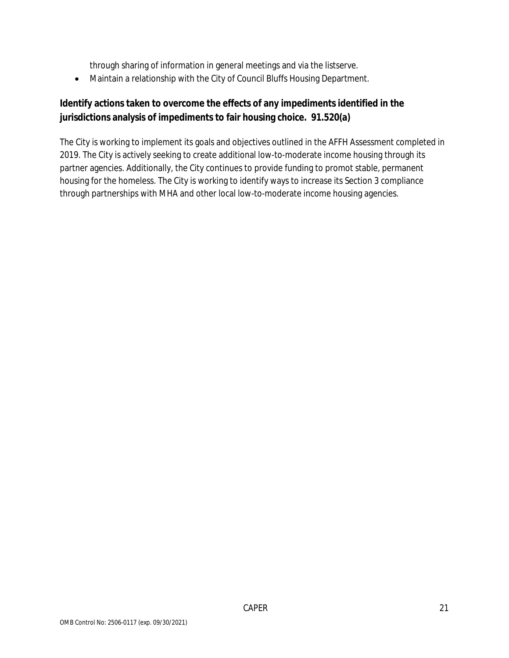through sharing of information in general meetings and via the listserve.

Maintain a relationship with the City of Council Bluffs Housing Department.

### **Identify actions taken to overcome the effects of any impediments identified in the jurisdictions analysis of impediments to fair housing choice. 91.520(a)**

The City is working to implement its goals and objectives outlined in the AFFH Assessment completed in 2019. The City is actively seeking to create additional low-to-moderate income housing through its partner agencies. Additionally, the City continues to provide funding to promot stable, permanent housing for the homeless. The City is working to identify ways to increase its Section 3 compliance through partnerships with MHA and other local low-to-moderate income housing agencies.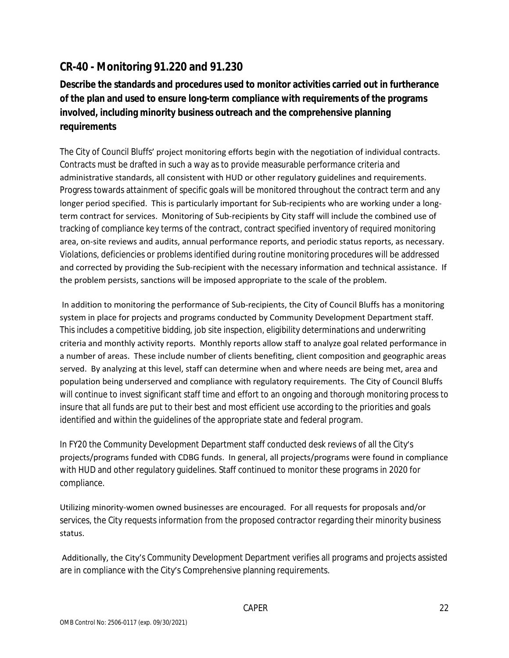# **CR-40 - Monitoring 91.220 and 91.230**

**Describe the standards and procedures used to monitor activities carried out in furtherance of the plan and used to ensure long-term compliance with requirements of the programs involved, including minority business outreach and the comprehensive planning requirements**

The City of Council Bluffs' project monitoring efforts begin with the negotiation of individual contracts. Contracts must be drafted in such a way as to provide measurable performance criteria and administrative standards, all consistent with HUD or other regulatory guidelines and requirements. Progress towards attainment of specific goals will be monitored throughout the contract term and any longer period specified. This is particularly important for Sub-recipients who are working under a longterm contract for services. Monitoring of Sub-recipients by City staff will include the combined use of tracking of compliance key terms of the contract, contract specified inventory of required monitoring area, on-site reviews and audits, annual performance reports, and periodic status reports, as necessary. Violations, deficiencies or problems identified during routine monitoring procedures will be addressed and corrected by providing the Sub-recipient with the necessary information and technical assistance. If the problem persists, sanctions will be imposed appropriate to the scale of the problem.

 In addition to monitoring the performance of Sub-recipients, the City of Council Bluffs has a monitoring system in place for projects and programs conducted by Community Development Department staff. This includes a competitive bidding, job site inspection, eligibility determinations and underwriting criteria and monthly activity reports. Monthly reports allow staff to analyze goal related performance in a number of areas. These include number of clients benefiting, client composition and geographic areas served. By analyzing at this level, staff can determine when and where needs are being met, area and population being underserved and compliance with regulatory requirements. The City of Council Bluffs will continue to invest significant staff time and effort to an ongoing and thorough monitoring process to insure that all funds are put to their best and most efficient use according to the priorities and goals identified and within the guidelines of the appropriate state and federal program.

In FY20 the Community Development Department staff conducted desk reviews of all the City's projects/programs funded with CDBG funds. In general, all projects/programs were found in compliance with HUD and other regulatory guidelines. Staff continued to monitor these programs in 2020 for compliance.

Utilizing minority-women owned businesses are encouraged. For all requests for proposals and/or services, the City requests information from the proposed contractor regarding their minority business status.

 Additionally, the City's Community Development Department verifies all programs and projects assisted are in compliance with the City's Comprehensive planning requirements.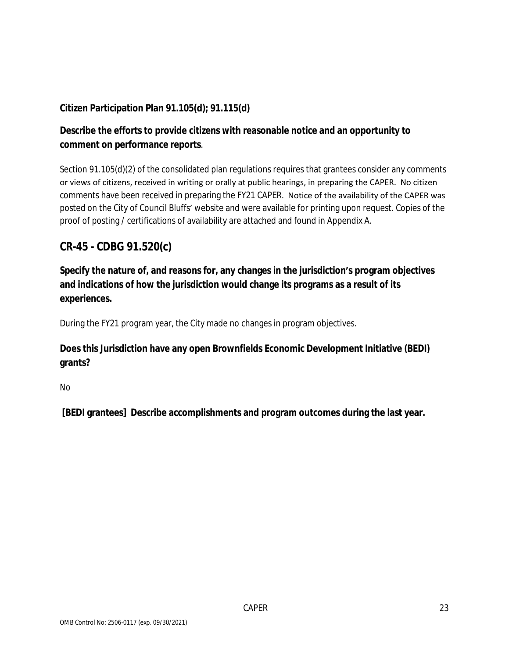### **Citizen Participation Plan 91.105(d); 91.115(d)**

### **Describe the efforts to provide citizens with reasonable notice and an opportunity to comment on performance reports**.

Section 91.105(d)(2) of the consolidated plan regulations requires that grantees consider any comments or views of citizens, received in writing or orally at public hearings, in preparing the CAPER. No citizen comments have been received in preparing the FY21 CAPER. Notice of the availability of the CAPER was posted on the City of Council Bluffs' website and were available for printing upon request. Copies of the proof of posting / certifications of availability are attached and found in Appendix A.

## **CR-45 - CDBG 91.520(c)**

**Specify the nature of, and reasons for, any changes in the jurisdiction's program objectives and indications of how the jurisdiction would change its programs as a result of its experiences.**

During the FY21 program year, the City made no changes in program objectives.

### **Does this Jurisdiction have any open Brownfields Economic Development Initiative (BEDI) grants?**

No

 **[BEDI grantees] Describe accomplishments and program outcomes during the last year.**